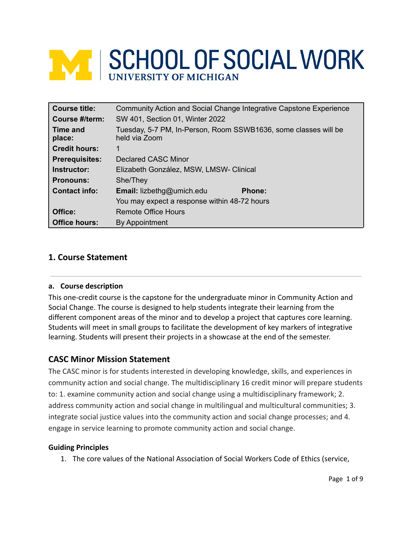# **WE SCHOOL OF SOCIAL WORK** UNIVERSITY OF MICHIGAN

| <b>Course title:</b>  | Community Action and Social Change Integrative Capstone Experience               |  |  |
|-----------------------|----------------------------------------------------------------------------------|--|--|
| Course #/term:        | SW 401, Section 01, Winter 2022                                                  |  |  |
| Time and<br>place:    | Tuesday, 5-7 PM, In-Person, Room SSWB1636, some classes will be<br>held via Zoom |  |  |
| <b>Credit hours:</b>  | 1                                                                                |  |  |
| <b>Prerequisites:</b> | <b>Declared CASC Minor</b>                                                       |  |  |
| Instructor:           | Elizabeth González, MSW, LMSW- Clinical                                          |  |  |
| <b>Pronouns:</b>      | She/They                                                                         |  |  |
| <b>Contact info:</b>  | Email: lizbethg@umich.edu<br><b>Phone:</b>                                       |  |  |
|                       | You may expect a response within 48-72 hours                                     |  |  |
| Office:               | Remote Office Hours                                                              |  |  |
| <b>Office hours:</b>  | By Appointment                                                                   |  |  |

# **1. Course Statement**

## **a. Course description**

This one-credit course is the capstone for the undergraduate minor in Community Action and Social Change. The course is designed to help students integrate their learning from the different component areas of the minor and to develop a project that captures core learning. Students will meet in small groups to facilitate the development of key markers of integrative learning. Students will present their projects in a showcase at the end of the semester.

# **CASC Minor Mission Statement**

The CASC minor is for students interested in developing knowledge, skills, and experiences in community action and social change. The multidisciplinary 16 credit minor will prepare students to: 1. examine community action and social change using a multidisciplinary framework; 2. address community action and social change in multilingual and multicultural communities; 3. integrate social justice values into the community action and social change processes; and 4. engage in service learning to promote community action and social change.

## **Guiding Principles**

1. The core values of the National Association of Social Workers Code of Ethics (service,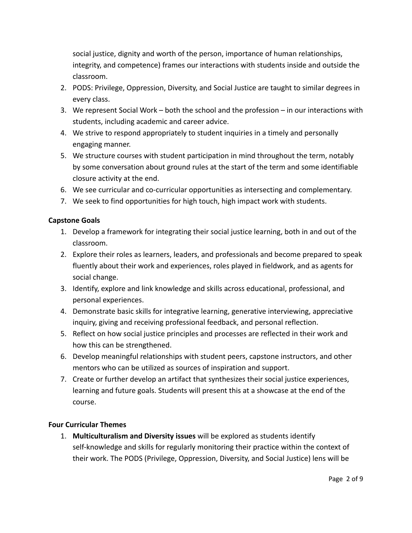social justice, dignity and worth of the person, importance of human relationships, integrity, and competence) frames our interactions with students inside and outside the classroom.

- 2. PODS: Privilege, Oppression, Diversity, and Social Justice are taught to similar degrees in every class.
- 3. We represent Social Work both the school and the profession in our interactions with students, including academic and career advice.
- 4. We strive to respond appropriately to student inquiries in a timely and personally engaging manner.
- 5. We structure courses with student participation in mind throughout the term, notably by some conversation about ground rules at the start of the term and some identifiable closure activity at the end.
- 6. We see curricular and co-curricular opportunities as intersecting and complementary.
- 7. We seek to find opportunities for high touch, high impact work with students.

# **Capstone Goals**

- 1. Develop a framework for integrating their social justice learning, both in and out of the classroom.
- 2. Explore their roles as learners, leaders, and professionals and become prepared to speak fluently about their work and experiences, roles played in fieldwork, and as agents for social change.
- 3. Identify, explore and link knowledge and skills across educational, professional, and personal experiences.
- 4. Demonstrate basic skills for integrative learning, generative interviewing, appreciative inquiry, giving and receiving professional feedback, and personal reflection.
- 5. Reflect on how social justice principles and processes are reflected in their work and how this can be strengthened.
- 6. Develop meaningful relationships with student peers, capstone instructors, and other mentors who can be utilized as sources of inspiration and support.
- 7. Create or further develop an artifact that synthesizes their social justice experiences, learning and future goals. Students will present this at a showcase at the end of the course.

## **Four Curricular Themes**

1. **Multiculturalism and Diversity issues** will be explored as students identify self-knowledge and skills for regularly monitoring their practice within the context of their work. The PODS (Privilege, Oppression, Diversity, and Social Justice) lens will be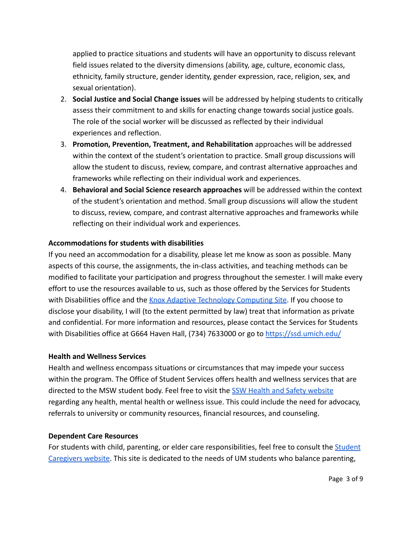applied to practice situations and students will have an opportunity to discuss relevant field issues related to the diversity dimensions (ability, age, culture, economic class, ethnicity, family structure, gender identity, gender expression, race, religion, sex, and sexual orientation).

- 2. **Social Justice and Social Change issues** will be addressed by helping students to critically assess their commitment to and skills for enacting change towards social justice goals. The role of the social worker will be discussed as reflected by their individual experiences and reflection.
- 3. **Promotion, Prevention, Treatment, and Rehabilitation** approaches will be addressed within the context of the student's orientation to practice. Small group discussions will allow the student to discuss, review, compare, and contrast alternative approaches and frameworks while reflecting on their individual work and experiences.
- 4. **Behavioral and Social Science research approaches** will be addressed within the context of the student's orientation and method. Small group discussions will allow the student to discuss, review, compare, and contrast alternative approaches and frameworks while reflecting on their individual work and experiences.

# **Accommodations for students with disabilities**

If you need an accommodation for a disability, please let me know as soon as possible. Many aspects of this course, the assignments, the in-class activities, and teaching methods can be modified to facilitate your participation and progress throughout the semester. I will make every effort to use the resources available to us, such as those offered by the Services for Students with Disabilities office and the [Knox Adaptive Technology](https://its.umich.edu/computing/accessible-computing/atcs) Computing Site. If you choose to disclose your disability, I will (to the extent permitted by law) treat that information as private and confidential. For more information and resources, please contact the Services for Students with Disabilities office at G664 Haven Hall, (734) 7633000 or go to <https://ssd.umich.edu/>

## **Health and Wellness Services**

Health and wellness encompass situations or circumstances that may impede your success within the program. The Office of Student Services offers health and wellness services that are directed to the MSW student body. Feel free to visit the [SSW Health and Safety website](https://ssw.umich.edu/student-life/health-safety) regarding any health, mental health or wellness issue. This could include the need for advocacy, referrals to university or community resources, financial resources, and counseling.

#### **Dependent Care Resources**

For students with child, parenting, or elder care responsibilities, feel free to consult the **[Student](http://www.cew.umich.edu/advocacy-initiatives/students-with-children/)** [Caregivers website](http://www.cew.umich.edu/advocacy-initiatives/students-with-children/). This site is dedicated to the needs of UM students who balance parenting,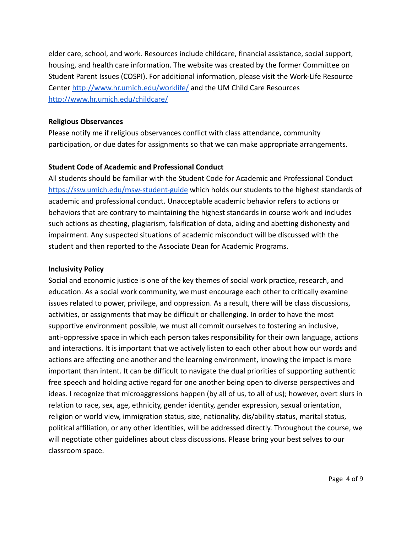elder care, school, and work. Resources include childcare, financial assistance, social support, housing, and health care information. The website was created by the former Committee on Student Parent Issues (COSPI). For additional information, please visit the Work-Life Resource Center <http://www.hr.umich.edu/worklife/> and the UM Child Care Resources <http://www.hr.umich.edu/childcare/>

## **Religious Observances**

Please notify me if religious observances conflict with class attendance, community participation, or due dates for assignments so that we can make appropriate arrangements.

## **Student Code of Academic and Professional Conduct**

All students should be familiar with the Student Code for Academic and Professional Conduct <https://ssw.umich.edu/msw-student-guide> which holds our students to the highest standards of academic and professional conduct. Unacceptable academic behavior refers to actions or behaviors that are contrary to maintaining the highest standards in course work and includes such actions as cheating, plagiarism, falsification of data, aiding and abetting dishonesty and impairment. Any suspected situations of academic misconduct will be discussed with the student and then reported to the Associate Dean for Academic Programs.

#### **Inclusivity Policy**

Social and economic justice is one of the key themes of social work practice, research, and education. As a social work community, we must encourage each other to critically examine issues related to power, privilege, and oppression. As a result, there will be class discussions, activities, or assignments that may be difficult or challenging. In order to have the most supportive environment possible, we must all commit ourselves to fostering an inclusive, anti-oppressive space in which each person takes responsibility for their own language, actions and interactions. It is important that we actively listen to each other about how our words and actions are affecting one another and the learning environment, knowing the impact is more important than intent. It can be difficult to navigate the dual priorities of supporting authentic free speech and holding active regard for one another being open to diverse perspectives and ideas. I recognize that microaggressions happen (by all of us, to all of us); however, overt slurs in relation to race, sex, age, ethnicity, gender identity, gender expression, sexual orientation, religion or world view, immigration status, size, nationality, dis/ability status, marital status, political affiliation, or any other identities, will be addressed directly. Throughout the course, we will negotiate other guidelines about class discussions. Please bring your best selves to our classroom space.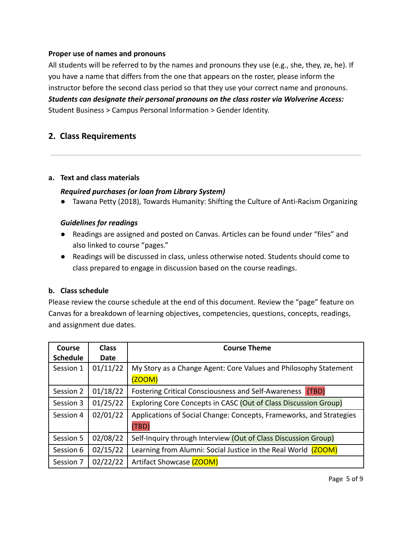# **Proper use of names and pronouns**

All students will be referred to by the names and pronouns they use (e.g., she, they, ze, he). If you have a name that differs from the one that appears on the roster, please inform the instructor before the second class period so that they use your correct name and pronouns. *Students can designate their personal pronouns on the class roster via Wolverine Access:* Student Business > Campus Personal Information > Gender Identity.

# **2. Class Requirements**

## **a. Text and class materials**

## *Required purchases (or loan from Library System)*

● Tawana Petty (2018), Towards Humanity: Shifting the Culture of Anti-Racism Organizing

## *Guidelines for readings*

- Readings are assigned and posted on Canvas. Articles can be found under "files" and also linked to course "pages."
- Readings will be discussed in class, unless otherwise noted. Students should come to class prepared to engage in discussion based on the course readings.

## **b. Class schedule**

Please review the course schedule at the end of this document. Review the "page" feature on Canvas for a breakdown of learning objectives, competencies, questions, concepts, readings, and assignment due dates.

| <b>Course</b>   | <b>Class</b> | <b>Course Theme</b>                                                 |  |
|-----------------|--------------|---------------------------------------------------------------------|--|
| <b>Schedule</b> | Date         |                                                                     |  |
| Session 1       | 01/11/22     | My Story as a Change Agent: Core Values and Philosophy Statement    |  |
|                 |              | (200M)                                                              |  |
| Session 2       | 01/18/22     | Fostering Critical Consciousness and Self-Awareness<br>(TBD)        |  |
| Session 3       | 01/25/22     | Exploring Core Concepts in CASC (Out of Class Discussion Group)     |  |
| Session 4       | 02/01/22     | Applications of Social Change: Concepts, Frameworks, and Strategies |  |
|                 |              | (TBD)                                                               |  |
| Session 5       | 02/08/22     | Self-Inquiry through Interview (Out of Class Discussion Group)      |  |
| Session 6       | 02/15/22     | Learning from Alumni: Social Justice in the Real World (ZOOM)       |  |
| Session 7       | 02/22/22     | Artifact Showcase (ZOOM)                                            |  |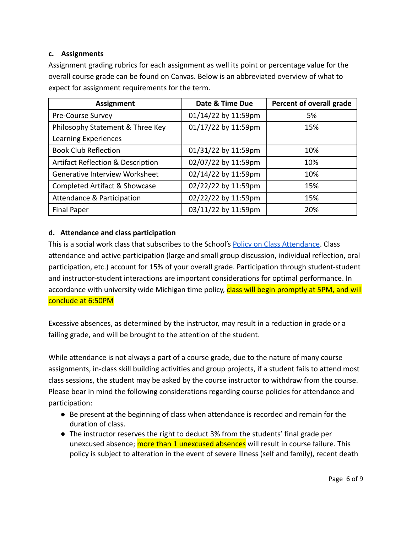# **c. Assignments**

Assignment grading rubrics for each assignment as well its point or percentage value for the overall course grade can be found on Canvas. Below is an abbreviated overview of what to expect for assignment requirements for the term.

| <b>Assignment</b>                            | Date & Time Due     | Percent of overall grade |
|----------------------------------------------|---------------------|--------------------------|
| Pre-Course Survey                            | 01/14/22 by 11:59pm | 5%                       |
| Philosophy Statement & Three Key             | 01/17/22 by 11:59pm | 15%                      |
| Learning Experiences                         |                     |                          |
| <b>Book Club Reflection</b>                  | 01/31/22 by 11:59pm | 10%                      |
| <b>Artifact Reflection &amp; Description</b> | 02/07/22 by 11:59pm | 10%                      |
| Generative Interview Worksheet               | 02/14/22 by 11:59pm | 10%                      |
| Completed Artifact & Showcase                | 02/22/22 by 11:59pm | 15%                      |
| Attendance & Participation                   | 02/22/22 by 11:59pm | 15%                      |
| <b>Final Paper</b>                           | 03/11/22 by 11:59pm | 20%                      |

# **d. Attendance and class participation**

This is a social work class that subscribes to the School's [Policy on Class Attendance](https://ssw.umich.edu/msw-student-guide/section/1.09.00/17/policy-on-class-attendance). Class attendance and active participation (large and small group discussion, individual reflection, oral participation, etc.) account for 15% of your overall grade. Participation through student-student and instructor-student interactions are important considerations for optimal performance. In accordance with university wide Michigan time policy, class will begin promptly at 5PM, and will conclude at 6:50PM

Excessive absences, as determined by the instructor, may result in a reduction in grade or a failing grade, and will be brought to the attention of the student.

While attendance is not always a part of a course grade, due to the nature of many course assignments, in-class skill building activities and group projects, if a student fails to attend most class sessions, the student may be asked by the course instructor to withdraw from the course. Please bear in mind the following considerations regarding course policies for attendance and participation:

- Be present at the beginning of class when attendance is recorded and remain for the duration of class.
- The instructor reserves the right to deduct 3% from the students' final grade per unexcused absence; **more than 1 unexcused absences** will result in course failure. This policy is subject to alteration in the event of severe illness (self and family), recent death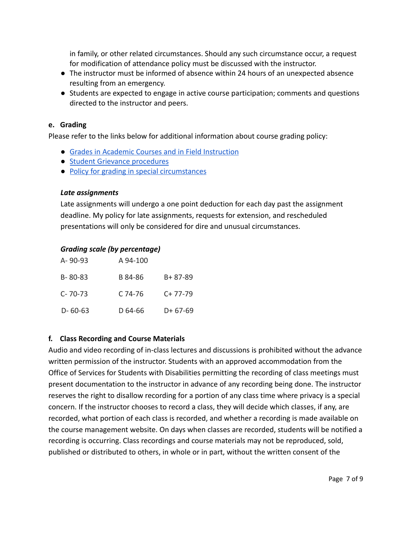in family, or other related circumstances. Should any such circumstance occur, a request for modification of attendance policy must be discussed with the instructor.

- The instructor must be informed of absence within 24 hours of an unexpected absence resulting from an emergency.
- Students are expected to engage in active course participation; comments and questions directed to the instructor and peers.

## **e. Grading**

Please refer to the links below for additional information about course grading policy:

- [Grades in Academic Courses and in Field Instruction](https://ssw.umich.edu/msw-student-guide/chapter/1.07/grades-in-academic-courses-and-in-field-education)
- [Student Grievance procedures](https://ssw.umich.edu/msw-student-guide/chapter/1.13/student-grievances)
- [Policy for grading in special circumstances](https://ssw.umich.edu/msw-student-guide/section/1.08.01/15/grades-for-special-circumstances)

## *Late assignments*

Late assignments will undergo a one point deduction for each day past the assignment deadline. My policy for late assignments, requests for extension, and rescheduled presentations will only be considered for dire and unusual circumstances.

# *Grading scale (by percentage)*

| $A - 90 - 93$ | A 94-100 |               |
|---------------|----------|---------------|
| $B - 80 - 83$ | B 84-86  | $B + 87 - 89$ |
| $C - 70 - 73$ | C 74-76  | $C+77-79$     |
| $D - 60 - 63$ | D 64-66  | $D+67-69$     |

# **f. Class Recording and Course Materials**

Audio and video recording of in-class lectures and discussions is prohibited without the advance written permission of the instructor. Students with an approved accommodation from the Office of Services for Students with Disabilities permitting the recording of class meetings must present documentation to the instructor in advance of any recording being done. The instructor reserves the right to disallow recording for a portion of any class time where privacy is a special concern. If the instructor chooses to record a class, they will decide which classes, if any, are recorded, what portion of each class is recorded, and whether a recording is made available on the course management website. On days when classes are recorded, students will be notified a recording is occurring. Class recordings and course materials may not be reproduced, sold, published or distributed to others, in whole or in part, without the written consent of the